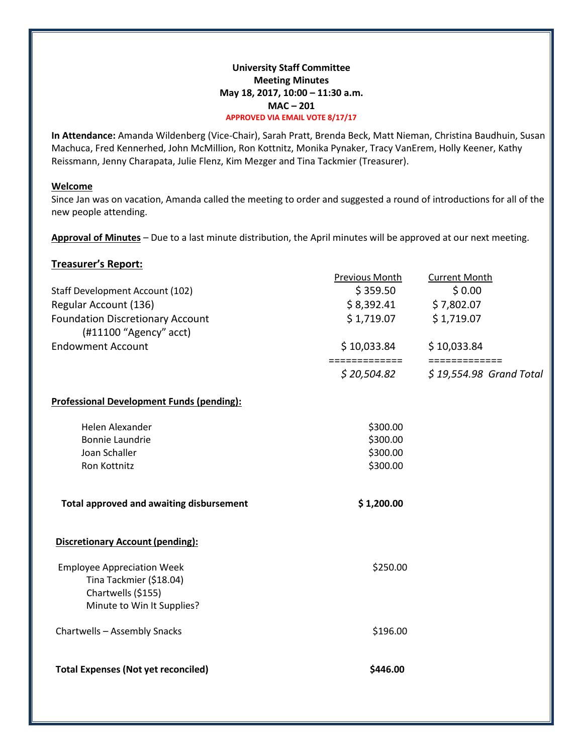## **University Staff Committee Meeting Minutes May 18, 2017, 10:00 – 11:30 a.m. MAC – 201 APPROVED VIA EMAIL VOTE 8/17/17**

**In Attendance:** Amanda Wildenberg (Vice-Chair), Sarah Pratt, Brenda Beck, Matt Nieman, Christina Baudhuin, Susan Machuca, Fred Kennerhed, John McMillion, Ron Kottnitz, Monika Pynaker, Tracy VanErem, Holly Keener, Kathy Reissmann, Jenny Charapata, Julie Flenz, Kim Mezger and Tina Tackmier (Treasurer).

#### **Welcome**

Since Jan was on vacation, Amanda called the meeting to order and suggested a round of introductions for all of the new people attending.

**Approval of Minutes** – Due to a last minute distribution, the April minutes will be approved at our next meeting.

| <b>Treasurer's Report:</b>                                                                                       |                              |                              |
|------------------------------------------------------------------------------------------------------------------|------------------------------|------------------------------|
|                                                                                                                  | <b>Previous Month</b>        | <b>Current Month</b>         |
| <b>Staff Development Account (102)</b>                                                                           | \$359.50                     | \$0.00                       |
| Regular Account (136)                                                                                            | \$8,392.41                   | \$7,802.07                   |
| <b>Foundation Discretionary Account</b>                                                                          | \$1,719.07                   | \$1,719.07                   |
| (#11100 "Agency" acct)                                                                                           |                              |                              |
| <b>Endowment Account</b>                                                                                         | \$10,033.84<br>============= | \$10,033.84<br>============= |
|                                                                                                                  | \$20,504.82                  | $$19,554.98$ Grand Total     |
| <b>Professional Development Funds (pending):</b>                                                                 |                              |                              |
| Helen Alexander                                                                                                  | \$300.00                     |                              |
| <b>Bonnie Laundrie</b>                                                                                           | \$300.00                     |                              |
| Joan Schaller                                                                                                    | \$300.00                     |                              |
| Ron Kottnitz                                                                                                     | \$300.00                     |                              |
| <b>Total approved and awaiting disbursement</b>                                                                  | \$1,200.00                   |                              |
| <b>Discretionary Account (pending):</b>                                                                          |                              |                              |
| <b>Employee Appreciation Week</b><br>Tina Tackmier (\$18.04)<br>Chartwells (\$155)<br>Minute to Win It Supplies? | \$250.00                     |                              |
| Chartwells - Assembly Snacks                                                                                     | \$196.00                     |                              |
| <b>Total Expenses (Not yet reconciled)</b>                                                                       | \$446.00                     |                              |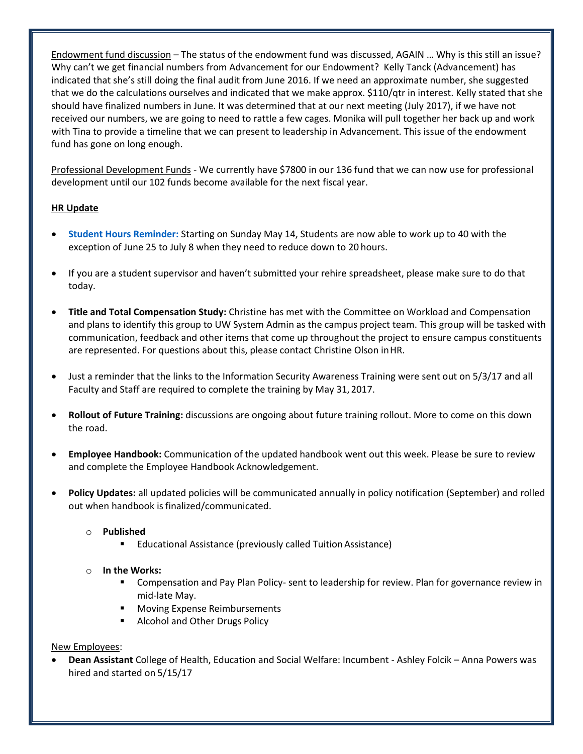Endowment fund discussion – The status of the endowment fund was discussed, AGAIN … Why is this still an issue? Why can't we get financial numbers from Advancement for our Endowment? Kelly Tanck (Advancement) has indicated that she's still doing the final audit from June 2016. If we need an approximate number, she suggested that we do the calculations ourselves and indicated that we make approx. \$110/qtr in interest. Kelly stated that she should have finalized numbers in June. It was determined that at our next meeting (July 2017), if we have not received our numbers, we are going to need to rattle a few cages. Monika will pull together her back up and work with Tina to provide a timeline that we can present to leadership in Advancement. This issue of the endowment fund has gone on long enough.

Professional Development Funds - We currently have \$7800 in our 136 fund that we can now use for professional development until our 102 funds become available for the next fiscal year.

# **HR Update**

- **[Student Hours Reminder:](https://blog.uwgb.edu/hr/2017/05/student-hours-reminder-2/)** Starting on Sunday May 14, Students are now able to work up to 40 with the exception of June 25 to July 8 when they need to reduce down to 20 hours.
- If you are a student supervisor and haven't submitted your rehire spreadsheet, please make sure to do that today.
- **Title and Total Compensation Study:** Christine has met with the Committee on Workload and Compensation and plans to identify this group to UW System Admin as the campus project team. This group will be tasked with communication, feedback and other items that come up throughout the project to ensure campus constituents are represented. For questions about this, please contact Christine Olson inHR.
- Just a reminder that the links to the Information Security Awareness Training were sent out on 5/3/17 and all Faculty and Staff are required to complete the training by May 31, 2017.
- **Rollout of Future Training:** discussions are ongoing about future training rollout. More to come on this down the road.
- **Employee Handbook:** Communication of the updated handbook went out this week. Please be sure to review and complete the Employee Handbook Acknowledgement.
- **Policy Updates:** all updated policies will be communicated annually in policy notification (September) and rolled out when handbook is finalized/communicated.

# o **Published**

■ Educational Assistance (previously called Tuition Assistance)

## o **In the Works:**

- Compensation and Pay Plan Policy- sent to leadership for review. Plan for governance review in mid-late May.
- **Moving Expense Reimbursements**
- Alcohol and Other Drugs Policy

## New Employees:

 **Dean Assistant** College of Health, Education and Social Welfare: Incumbent - Ashley Folcik – Anna Powers was hired and started on 5/15/17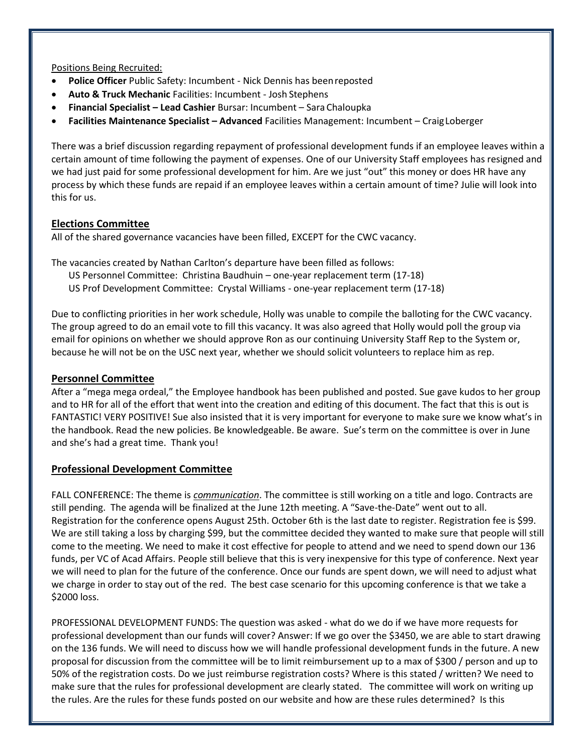Positions Being Recruited:

- **Police Officer** Public Safety: Incumbent Nick Dennis has beenreposted
- **Auto & Truck Mechanic** Facilities: Incumbent Josh Stephens
- **Financial Specialist – Lead Cashier** Bursar: Incumbent Sara Chaloupka
- **Facilities Maintenance Specialist – Advanced** Facilities Management: Incumbent CraigLoberger

There was a brief discussion regarding repayment of professional development funds if an employee leaves within a certain amount of time following the payment of expenses. One of our University Staff employees has resigned and we had just paid for some professional development for him. Are we just "out" this money or does HR have any process by which these funds are repaid if an employee leaves within a certain amount of time? Julie will look into this for us.

## **Elections Committee**

All of the shared governance vacancies have been filled, EXCEPT for the CWC vacancy.

The vacancies created by Nathan Carlton's departure have been filled as follows:

- US Personnel Committee: Christina Baudhuin one-year replacement term (17-18)
- US Prof Development Committee: Crystal Williams one-year replacement term (17-18)

Due to conflicting priorities in her work schedule, Holly was unable to compile the balloting for the CWC vacancy. The group agreed to do an email vote to fill this vacancy. It was also agreed that Holly would poll the group via email for opinions on whether we should approve Ron as our continuing University Staff Rep to the System or, because he will not be on the USC next year, whether we should solicit volunteers to replace him as rep.

## **Personnel Committee**

After a "mega mega ordeal," the Employee handbook has been published and posted. Sue gave kudos to her group and to HR for all of the effort that went into the creation and editing of this document. The fact that this is out is FANTASTIC! VERY POSITIVE! Sue also insisted that it is very important for everyone to make sure we know what's in the handbook. Read the new policies. Be knowledgeable. Be aware. Sue's term on the committee is over in June and she's had a great time. Thank you!

# **Professional Development Committee**

FALL CONFERENCE: The theme is *communication*. The committee is still working on a title and logo. Contracts are still pending. The agenda will be finalized at the June 12th meeting. A "Save-the-Date" went out to all. Registration for the conference opens August 25th. October 6th is the last date to register. Registration fee is \$99. We are still taking a loss by charging \$99, but the committee decided they wanted to make sure that people will still come to the meeting. We need to make it cost effective for people to attend and we need to spend down our 136 funds, per VC of Acad Affairs. People still believe that this is very inexpensive for this type of conference. Next year we will need to plan for the future of the conference. Once our funds are spent down, we will need to adjust what we charge in order to stay out of the red. The best case scenario for this upcoming conference is that we take a \$2000 loss.

PROFESSIONAL DEVELOPMENT FUNDS: The question was asked - what do we do if we have more requests for professional development than our funds will cover? Answer: If we go over the \$3450, we are able to start drawing on the 136 funds. We will need to discuss how we will handle professional development funds in the future. A new proposal for discussion from the committee will be to limit reimbursement up to a max of \$300 / person and up to 50% of the registration costs. Do we just reimburse registration costs? Where is this stated / written? We need to make sure that the rules for professional development are clearly stated. The committee will work on writing up the rules. Are the rules for these funds posted on our website and how are these rules determined? Is this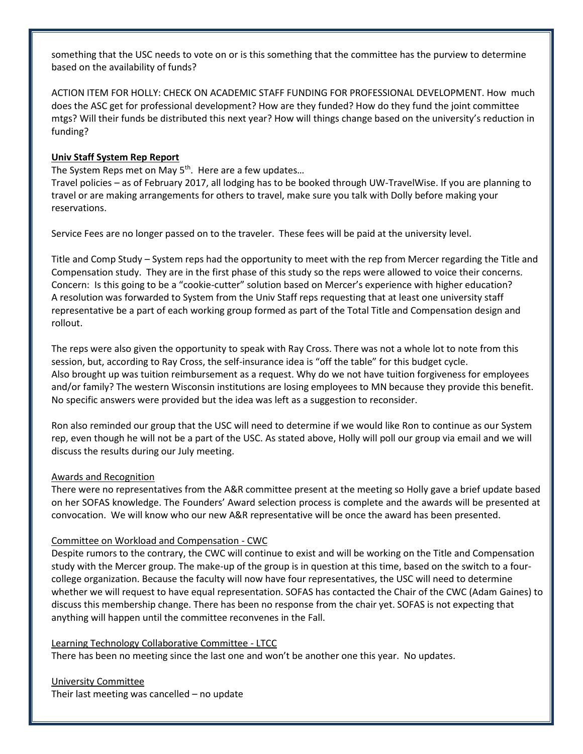something that the USC needs to vote on or is this something that the committee has the purview to determine based on the availability of funds?

ACTION ITEM FOR HOLLY: CHECK ON ACADEMIC STAFF FUNDING FOR PROFESSIONAL DEVELOPMENT. How much does the ASC get for professional development? How are they funded? How do they fund the joint committee mtgs? Will their funds be distributed this next year? How will things change based on the university's reduction in funding?

## **Univ Staff System Rep Report**

The System Reps met on May 5<sup>th</sup>. Here are a few updates...

Travel policies – as of February 2017, all lodging has to be booked through UW-TravelWise. If you are planning to travel or are making arrangements for others to travel, make sure you talk with Dolly before making your reservations.

Service Fees are no longer passed on to the traveler. These fees will be paid at the university level.

Title and Comp Study – System reps had the opportunity to meet with the rep from Mercer regarding the Title and Compensation study. They are in the first phase of this study so the reps were allowed to voice their concerns. Concern: Is this going to be a "cookie-cutter" solution based on Mercer's experience with higher education? A resolution was forwarded to System from the Univ Staff reps requesting that at least one university staff representative be a part of each working group formed as part of the Total Title and Compensation design and rollout.

The reps were also given the opportunity to speak with Ray Cross. There was not a whole lot to note from this session, but, according to Ray Cross, the self-insurance idea is "off the table" for this budget cycle. Also brought up was tuition reimbursement as a request. Why do we not have tuition forgiveness for employees and/or family? The western Wisconsin institutions are losing employees to MN because they provide this benefit. No specific answers were provided but the idea was left as a suggestion to reconsider.

Ron also reminded our group that the USC will need to determine if we would like Ron to continue as our System rep, even though he will not be a part of the USC. As stated above, Holly will poll our group via email and we will discuss the results during our July meeting.

## Awards and Recognition

There were no representatives from the A&R committee present at the meeting so Holly gave a brief update based on her SOFAS knowledge. The Founders' Award selection process is complete and the awards will be presented at convocation. We will know who our new A&R representative will be once the award has been presented.

## Committee on Workload and Compensation - CWC

Despite rumors to the contrary, the CWC will continue to exist and will be working on the Title and Compensation study with the Mercer group. The make-up of the group is in question at this time, based on the switch to a fourcollege organization. Because the faculty will now have four representatives, the USC will need to determine whether we will request to have equal representation. SOFAS has contacted the Chair of the CWC (Adam Gaines) to discuss this membership change. There has been no response from the chair yet. SOFAS is not expecting that anything will happen until the committee reconvenes in the Fall.

## Learning Technology Collaborative Committee - LTCC

There has been no meeting since the last one and won't be another one this year. No updates.

University Committee Their last meeting was cancelled – no update